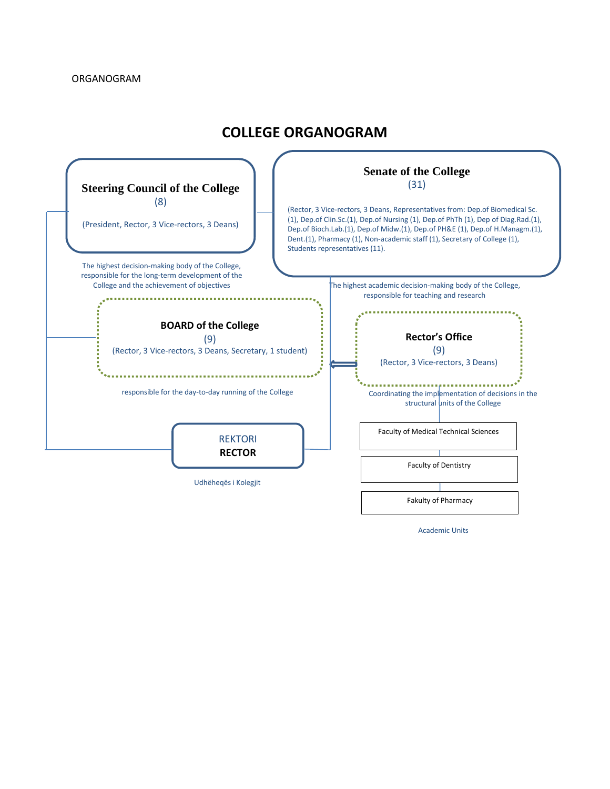## **COLLEGE ORGANOGRAM**



Academic Units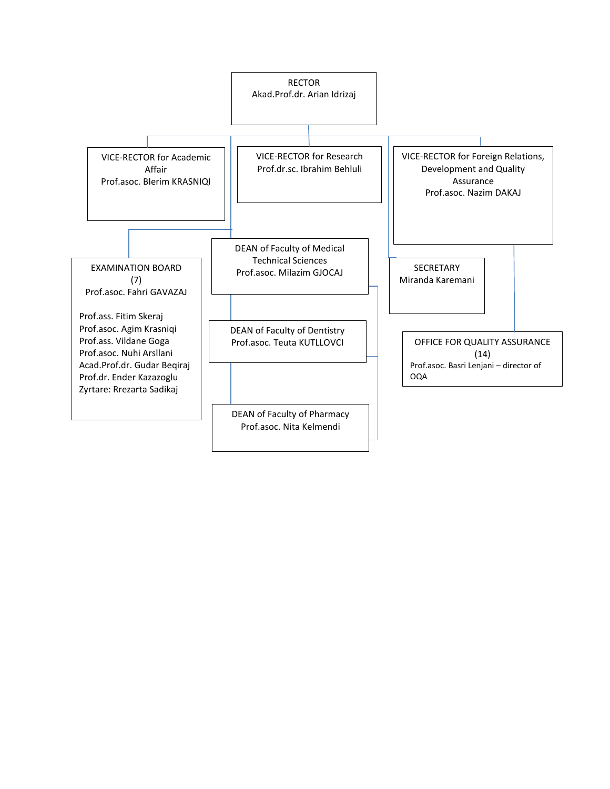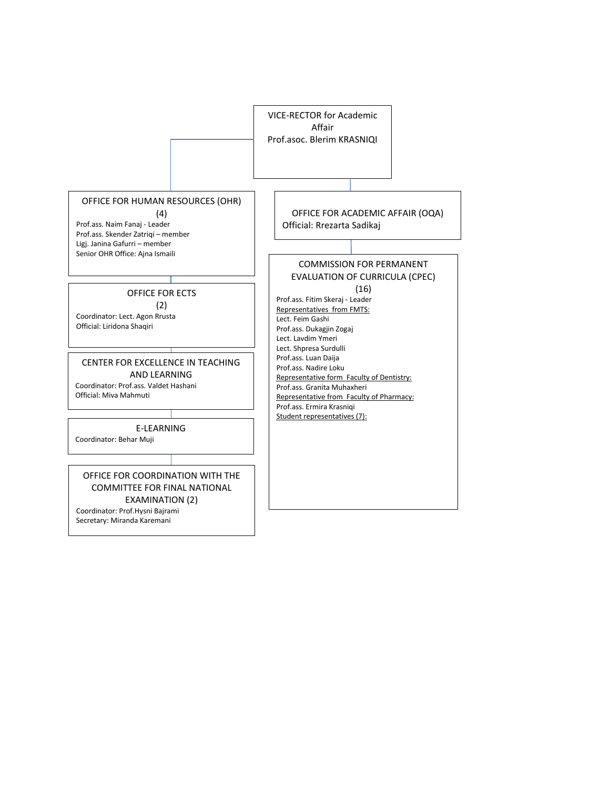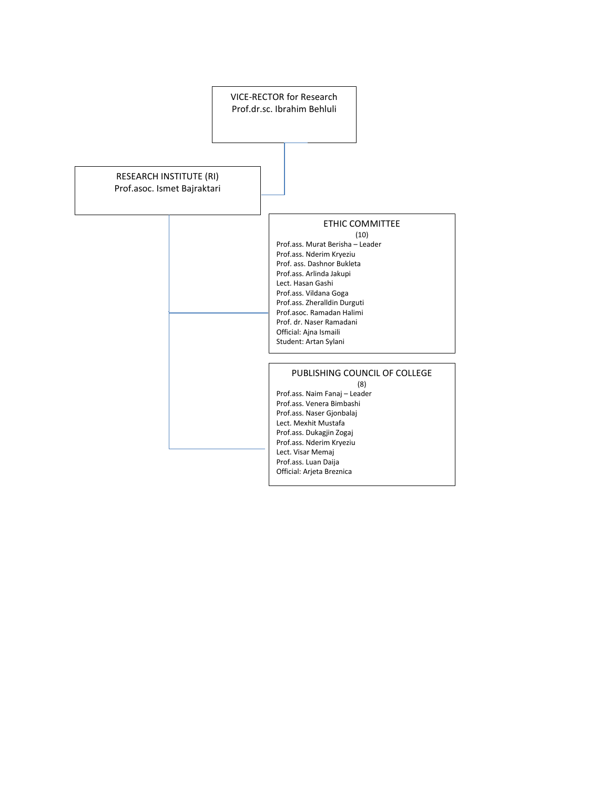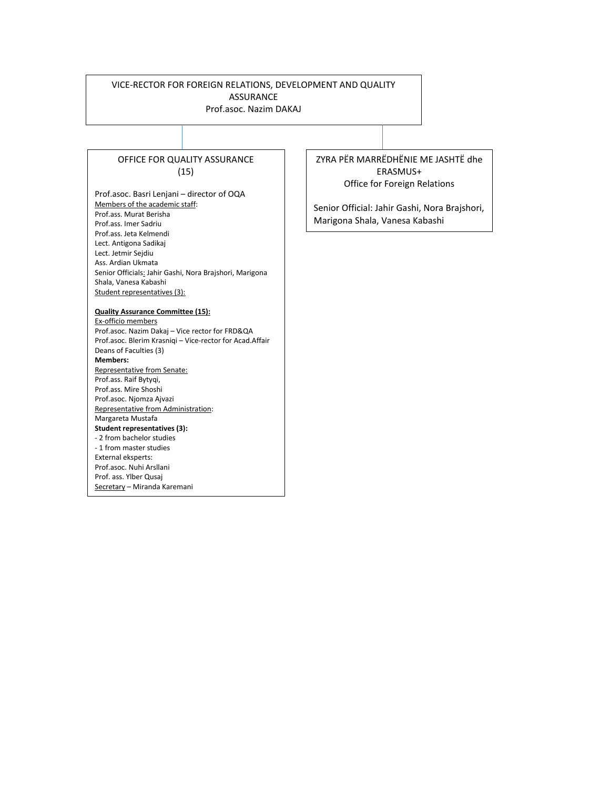## VICE-RECTOR FOR FOREIGN RELATIONS, DEVELOPMENT AND QUALITY ASSURANCE

Prof.asoc. Nazim DAKAJ

## OFFICE FOR QUALITY ASSURANCE (15)

Prof.asoc. Basri Lenjani – director of OQA Members of the academic staff: Prof.ass. Murat Berisha Prof.ass. Imer Sadriu Prof.ass. Jeta Kelmendi Lect. Antigona Sadikaj Lect. Jetmir Sejdiu Ass. Ardian Ukmata Senior Officials: Jahir Gashi, Nora Brajshori, Marigona Shala, Vanesa Kabashi Student representatives (3):

## **Quality Assurance Committee (15):**

Ex-officio members Prof.asoc. Nazim Dakaj – Vice rector for FRD&QA Prof.asoc. Blerim Krasniqi – Vice-rector for Acad.Affair Deans of Faculties (3) **Members:** Representative from Senate: Prof.ass. Raif Bytyqi, Prof.ass. Mire Shoshi Prof.asoc. Njomza Ajvazi Representative from Administration: Margareta Mustafa **Student representatives (3):** - 2 from bachelor studies - 1 from master studies External eksperts: Prof.asoc. Nuhi Arsllani Prof. ass. Ylber Qusaj Secretary – Miranda Karemani

ZYRA PËR MARRËDHËNIE ME JASHTË dhe ERASMUS+ Office for Foreign Relations

Senior Official: Jahir Gashi, Nora Brajshori, Marigona Shala, Vanesa Kabashi